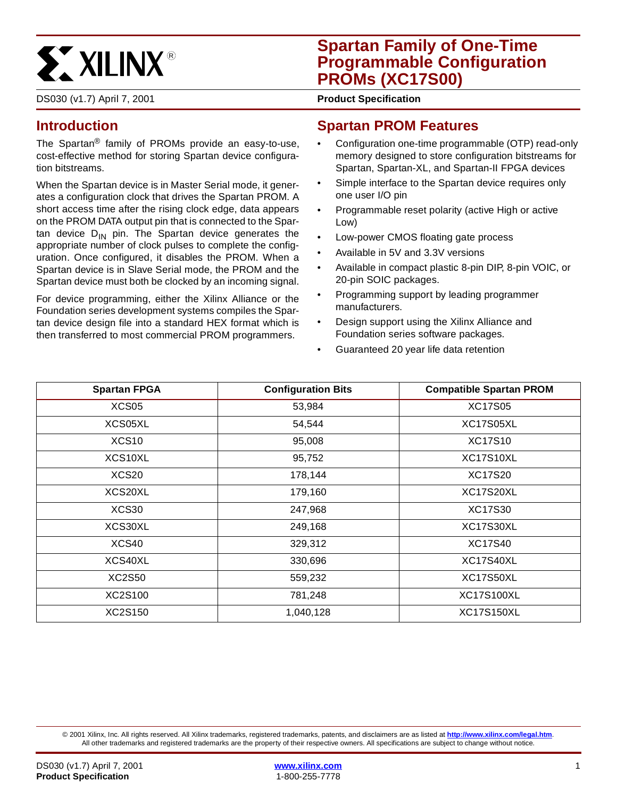

## **Spartan Family of One-Time Programmable Configuration PROMs (XC17S00)**

DS030 (v1.7) April 7, 2001 **0 666 and 767 and 768 and 76 Product Specification** 

## <span id="page-0-0"></span>**Introduction**

The Spartan® family of PROMs provide an easy-to-use, cost-effective method for storing Spartan device configuration bitstreams.

When the Spartan device is in Master Serial mode, it generates a configuration clock that drives the Spartan PROM. A short access time after the rising clock edge, data appears on the PROM DATA output pin that is connected to the Spartan device  $D_{IN}$  pin. The Spartan device generates the appropriate number of clock pulses to complete the configuration. Once configured, it disables the PROM. When a Spartan device is in Slave Serial mode, the PROM and the Spartan device must both be clocked by an incoming signal.

For device programming, either the Xilinx Alliance or the Foundation series development systems compiles the Spartan device design file into a standard HEX format which is then transferred to most commercial PROM programmers.

#### **Spartan PROM Features**

- Configuration one-time programmable (OTP) read-only memory designed to store configuration bitstreams for Spartan, Spartan-XL, and Spartan-II FPGA devices
- Simple interface to the Spartan device requires only one user I/O pin
- Programmable reset polarity (active High or active Low)
- Low-power CMOS floating gate process
- Available in 5V and 3.3V versions
- Available in compact plastic 8-pin DIP, 8-pin VOIC, or 20-pin SOIC packages.
- Programming support by leading programmer manufacturers.
- Design support using the Xilinx Alliance and Foundation series software packages.
- Guaranteed 20 year life data retention

| <b>Spartan FPGA</b> | <b>Configuration Bits</b> | <b>Compatible Spartan PROM</b> |
|---------------------|---------------------------|--------------------------------|
| XCS <sub>05</sub>   | 53,984                    | <b>XC17S05</b>                 |
| XCS05XL             | 54,544                    | XC17S05XL                      |
| XCS <sub>10</sub>   | 95,008                    | <b>XC17S10</b>                 |
| XCS10XL             | 95,752                    | XC17S10XL                      |
| XCS20               | 178,144                   | <b>XC17S20</b>                 |
| XCS20XL             | 179,160                   | XC17S20XL                      |
| XCS30               | 247,968                   | <b>XC17S30</b>                 |
| XCS30XL             | 249,168                   | XC17S30XL                      |
| XCS40               | 329,312                   | <b>XC17S40</b>                 |
| XCS40XL             | 330,696                   | XC17S40XL                      |
| XC2S50              | 559,232                   | XC17S50XL                      |
| XC2S100             | 781,248                   | <b>XC17S100XL</b>              |
| XC2S150             | 1,040,128                 | <b>XC17S150XL</b>              |

© 2001 Xilinx, Inc. All rights reserved. All Xilinx trademarks, registered trademarks, patents, and disclaimers are as listed at **<http://www.xilinx.com/legal.htm>**. All other trademarks and registered trademarks are the property of their respective owners. All specifications are subject to change without notice.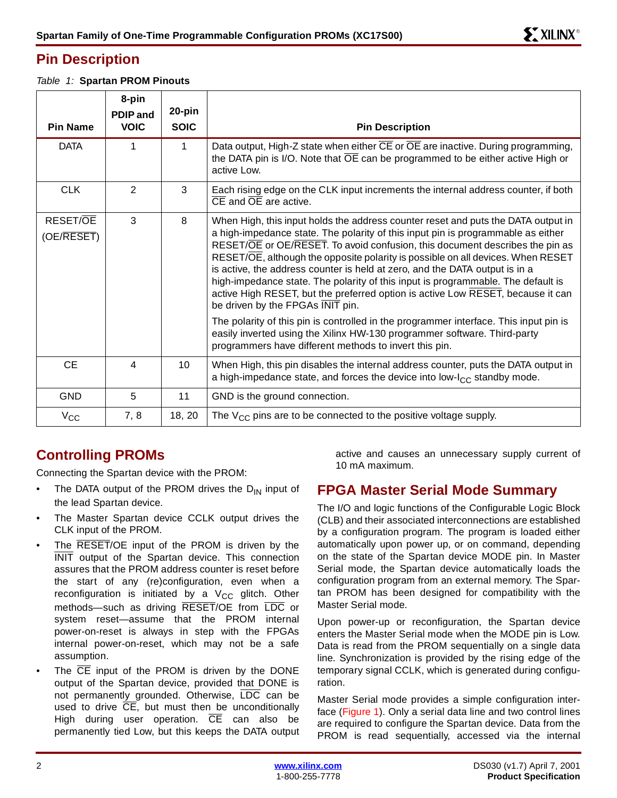### <span id="page-1-0"></span>**Pin Description**

Table 1: **Spartan PROM Pinouts**

|                        | 8-pin<br><b>PDIP</b> and | 20-pin      |                                                                                                                                                                                                                                                                                                                                                                                                                                                                                                                                                                                                                                                                                                                                                                                                                                                                   |
|------------------------|--------------------------|-------------|-------------------------------------------------------------------------------------------------------------------------------------------------------------------------------------------------------------------------------------------------------------------------------------------------------------------------------------------------------------------------------------------------------------------------------------------------------------------------------------------------------------------------------------------------------------------------------------------------------------------------------------------------------------------------------------------------------------------------------------------------------------------------------------------------------------------------------------------------------------------|
| <b>Pin Name</b>        | <b>VOIC</b>              | <b>SOIC</b> | <b>Pin Description</b>                                                                                                                                                                                                                                                                                                                                                                                                                                                                                                                                                                                                                                                                                                                                                                                                                                            |
| <b>DATA</b>            | 1                        | 1           | Data output, High-Z state when either CE or OE are inactive. During programming,<br>the DATA pin is I/O. Note that $\overline{OE}$ can be programmed to be either active High or<br>active Low.                                                                                                                                                                                                                                                                                                                                                                                                                                                                                                                                                                                                                                                                   |
| <b>CLK</b>             | $\overline{2}$           | 3           | Each rising edge on the CLK input increments the internal address counter, if both<br>$\overline{CE}$ and $\overline{OE}$ are active.                                                                                                                                                                                                                                                                                                                                                                                                                                                                                                                                                                                                                                                                                                                             |
| RESET/OE<br>(OE/RESET) | 3                        | 8           | When High, this input holds the address counter reset and puts the DATA output in<br>a high-impedance state. The polarity of this input pin is programmable as either<br>RESET/OE or OE/RESET. To avoid confusion, this document describes the pin as<br>RESET/OE, although the opposite polarity is possible on all devices. When RESET<br>is active, the address counter is held at zero, and the DATA output is in a<br>high-impedance state. The polarity of this input is programmable. The default is<br>active High RESET, but the preferred option is active Low RESET, because it can<br>be driven by the FPGAs INIT pin.<br>The polarity of this pin is controlled in the programmer interface. This input pin is<br>easily inverted using the Xilinx HW-130 programmer software. Third-party<br>programmers have different methods to invert this pin. |
| <b>CE</b>              | 4                        | 10          | When High, this pin disables the internal address counter, puts the DATA output in<br>a high-impedance state, and forces the device into low-I <sub>CC</sub> standby mode.                                                                                                                                                                                                                                                                                                                                                                                                                                                                                                                                                                                                                                                                                        |
| <b>GND</b>             | 5                        | 11          | GND is the ground connection.                                                                                                                                                                                                                                                                                                                                                                                                                                                                                                                                                                                                                                                                                                                                                                                                                                     |
| $V_{\rm CC}$           | 7, 8                     | 18, 20      | The $V_{CC}$ pins are to be connected to the positive voltage supply.                                                                                                                                                                                                                                                                                                                                                                                                                                                                                                                                                                                                                                                                                                                                                                                             |

## **Controlling PROMs**

Connecting the Spartan device with the PROM:

- The DATA output of the PROM drives the  $D_{IN}$  input of the lead Spartan device.
- The Master Spartan device CCLK output drives the CLK input of the PROM.
- The RESET/OE input of the PROM is driven by the INIT output of the Spartan device. This connection assures that the PROM address counter is reset before the start of any (re)configuration, even when a reconfiguration is initiated by a  $V_{CC}$  glitch. Other methods—such as driving RESET/OE from LDC or system reset—assume that the PROM internal power-on-reset is always in step with the FPGAs internal power-on-reset, which may not be a safe assumption.
- The  $\overline{CE}$  input of the PROM is driven by the DONE output of the Spartan device, provided that DONE is not permanently grounded. Otherwise, LDC can be used to drive  $\overline{CE}$ , but must then be unconditionally High during user operation.  $\overline{CE}$  can also be permanently tied Low, but this keeps the DATA output

active and causes an unnecessary supply current of 10 mA maximum.

### **FPGA Master Serial Mode Summary**

The I/O and logic functions of the Configurable Logic Block (CLB) and their associated interconnections are established by a configuration program. The program is loaded either automatically upon power up, or on command, depending on the state of the Spartan device MODE pin. In Master Serial mode, the Spartan device automatically loads the configuration program from an external memory. The Spartan PROM has been designed for compatibility with the Master Serial mode.

Upon power-up or reconfiguration, the Spartan device enters the Master Serial mode when the MODE pin is Low. Data is read from the PROM sequentially on a single data line. Synchronization is provided by the rising edge of the temporary signal CCLK, which is generated during configuration.

Master Serial mode provides a simple configuration interface (Figure 1). Only a serial data line and two control lines are required to configure the Spartan device. Data from the PROM is read sequentially, accessed via the internal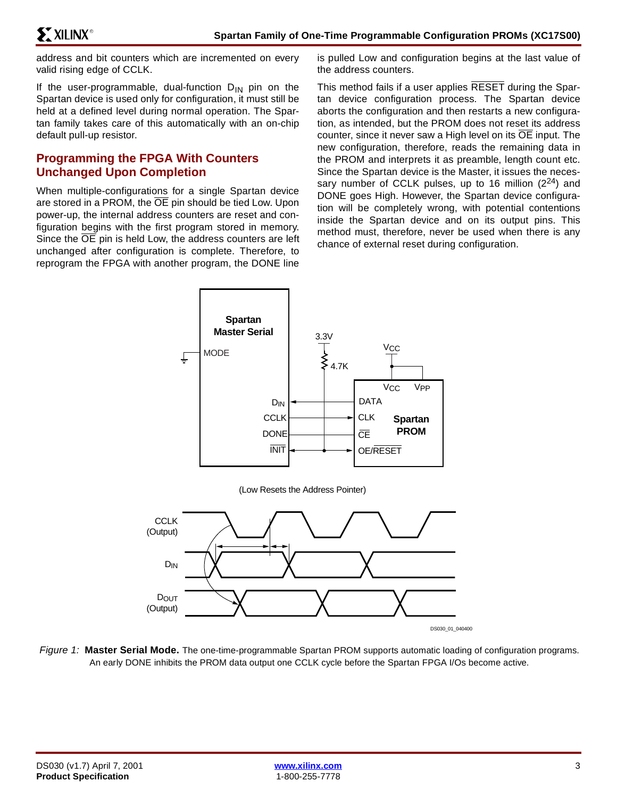address and bit counters which are incremented on every valid rising edge of CCLK.

If the user-programmable, dual-function  $D_{IN}$  pin on the Spartan device is used only for configuration, it must still be held at a defined level during normal operation. The Spartan family takes care of this automatically with an on-chip default pull-up resistor.

#### **Programming the FPGA With Counters Unchanged Upon Completion**

When multiple-configurations for a single Spartan device are stored in a PROM, the OE pin should be tied Low. Upon power-up, the internal address counters are reset and configuration begins with the first program stored in memory. Since the  $\overline{OE}$  pin is held Low, the address counters are left unchanged after configuration is complete. Therefore, to reprogram the FPGA with another program, the DONE line

is pulled Low and configuration begins at the last value of the address counters.

This method fails if a user applies RESET during the Spartan device configuration process. The Spartan device aborts the configuration and then restarts a new configuration, as intended, but the PROM does not reset its address counter, since it never saw a High level on its  $\overline{OE}$  input. The new configuration, therefore, reads the remaining data in the PROM and interprets it as preamble, length count etc. Since the Spartan device is the Master, it issues the necessary number of CCLK pulses, up to 16 million  $(2^{24})$  and DONE goes High. However, the Spartan device configuration will be completely wrong, with potential contentions inside the Spartan device and on its output pins. This method must, therefore, never be used when there is any chance of external reset during configuration.



Figure 1: **Master Serial Mode.** The one-time-programmable Spartan PROM supports automatic loading of configuration programs. An early DONE inhibits the PROM data output one CCLK cycle before the Spartan FPGA I/Os become active.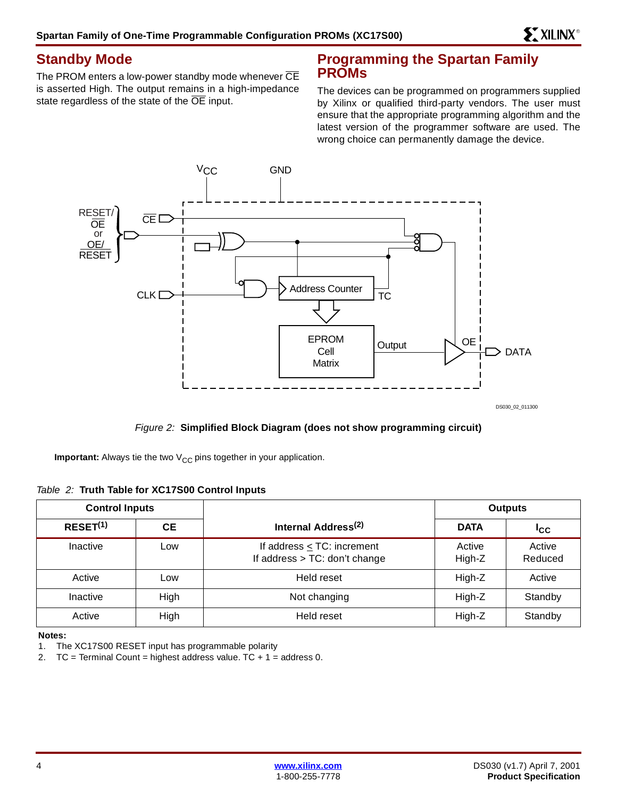#### **Standby Mode**

The PROM enters a low-power standby mode whenever  $\overline{\text{CE}}$ is asserted High. The output remains in a high-impedance state regardless of the state of the OE input.

#### **Programming the Spartan Family PROMs**

The devices can be programmed on programmers supplied by Xilinx or qualified third-party vendors. The user must ensure that the appropriate programming algorithm and the latest version of the programmer software are used. The wrong choice can permanently damage the device.



Figure 2: **Simplified Block Diagram (does not show programming circuit)**

**Important:** Always tie the two V<sub>CC</sub> pins together in your application.

| Table 2: Truth Table for XC17S00 Control Inputs |
|-------------------------------------------------|
|-------------------------------------------------|

| <b>Control Inputs</b> |      |                                                                  | <b>Outputs</b>   |                   |
|-----------------------|------|------------------------------------------------------------------|------------------|-------------------|
| RESET <sup>(1)</sup>  | CЕ   | Internal Address <sup>(2)</sup>                                  | <b>DATA</b>      | <b>ICC</b>        |
| Inactive              | Low  | If address $\leq$ TC: increment<br>If address > TC: don't change | Active<br>High-Z | Active<br>Reduced |
| Active                | Low  | Held reset                                                       | High-Z           | Active            |
| Inactive              | High | Not changing                                                     | High-Z           | Standby           |
| Active                | High | Held reset                                                       | High-Z           | Standby           |

**Notes:** 

1. The XC17S00 RESET input has programmable polarity

2.  $TC = Terminal Count = highest address value. TC + 1 = address 0.$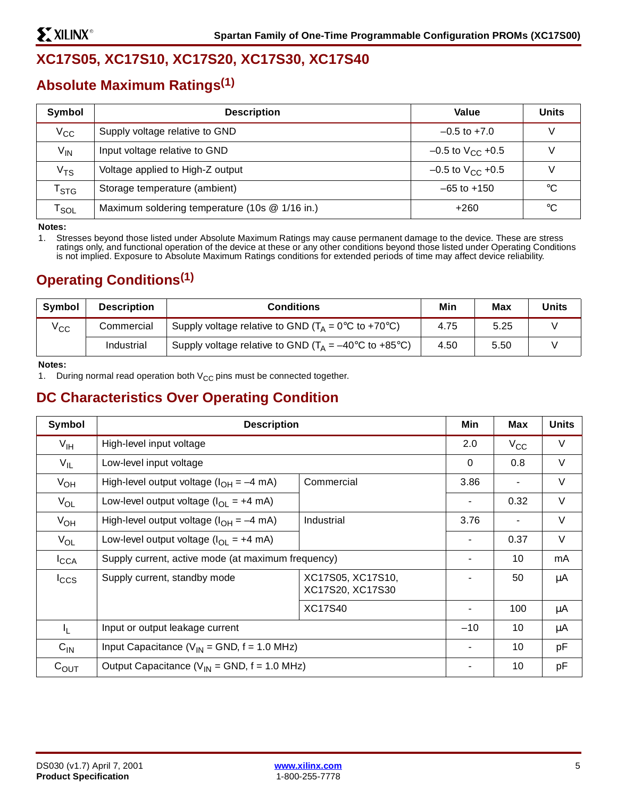## **XC17S05, XC17S10, XC17S20, XC17S30, XC17S40**

## **Absolute Maximum Ratings(1)**

| Symbol                      | <b>Description</b>                             | Value                          | <b>Units</b> |
|-----------------------------|------------------------------------------------|--------------------------------|--------------|
| $V_{\rm CC}$                | Supply voltage relative to GND                 | $-0.5$ to $+7.0$               | ν            |
| V <sub>IN</sub>             | Input voltage relative to GND                  | $-0.5$ to $V_{\text{CC}}$ +0.5 |              |
| $\rm v_{TS}$                | Voltage applied to High-Z output               | $-0.5$ to V <sub>CC</sub> +0.5 |              |
| $\mathsf{r}_{\texttt{STG}}$ | Storage temperature (ambient)                  | $-65$ to $+150$                | $^{\circ}C$  |
| $\mathsf{r}_{\mathsf{SOL}}$ | Maximum soldering temperature (10s @ 1/16 in.) | +260                           | $^{\circ}C$  |

**Notes:** 

1. Stresses beyond those listed under Absolute Maximum Ratings may cause permanent damage to the device. These are stress ratings only, and functional operation of the device at these or any other conditions beyond those listed under Operating Conditions is not implied. Exposure to Absolute Maximum Ratings conditions for extended periods of time may affect device reliability.

## **Operating Conditions(1)**

| <b>Symbol</b> | <b>Description</b> | <b>Conditions</b>                                                                    | Min  | Max  | <b>Units</b> |
|---------------|--------------------|--------------------------------------------------------------------------------------|------|------|--------------|
| $V_{\rm CC}$  | Commercial         | Supply voltage relative to GND ( $T_A = 0^\circ \text{C}$ to +70 $^\circ \text{C}$ ) | 4.75 | 5.25 |              |
|               | Industrial         | Supply voltage relative to GND ( $T_A = -40^{\circ}$ C to +85°C)                     | 4.50 | 5.50 |              |

**Notes:** 

1. During normal read operation both  $V_{CC}$  pins must be connected together.

#### **DC Characteristics Over Operating Condition**

| Symbol           | <b>Description</b>                                                    |            |             | Max  | <b>Units</b> |
|------------------|-----------------------------------------------------------------------|------------|-------------|------|--------------|
| $V_{\text{IH}}$  | High-level input voltage                                              |            |             |      | V            |
| $V_{IL}$         | Low-level input voltage                                               |            | $\mathbf 0$ | 0.8  | V            |
| $V_{OH}$         | High-level output voltage $(l_{OH} = -4$ mA)                          | Commercial | 3.86        |      | V            |
| $V_{OL}$         | Low-level output voltage $(l_{OL} = +4$ mA)                           |            |             |      |              |
| $V_{OH}$         | High-level output voltage $(l_{OH} = -4$ mA)                          | Industrial |             |      | $\vee$       |
| $V_{OL}$         | Low-level output voltage $(IO1 = +4 mA)$                              |            |             | 0.37 | $\vee$       |
| $I_{\text{CCA}}$ | Supply current, active mode (at maximum frequency)                    |            |             | 10   | mA           |
| $I_{\text{CCS}}$ | XC17S05, XC17S10,<br>Supply current, standby mode<br>XC17S20, XC17S30 |            |             | 50   | μA           |
|                  | <b>XC17S40</b>                                                        |            |             | 100  | μA           |
| $I_{L}$          | Input or output leakage current                                       |            |             | 10   | μA           |
| $C_{IN}$         | Input Capacitance ( $V_{IN}$ = GND, $f = 1.0$ MHz)                    |            |             | 10   | pF           |
| $C_{OUT}$        | Output Capacitance ( $V_{IN}$ = GND, f = 1.0 MHz)                     |            |             | 10   | pF           |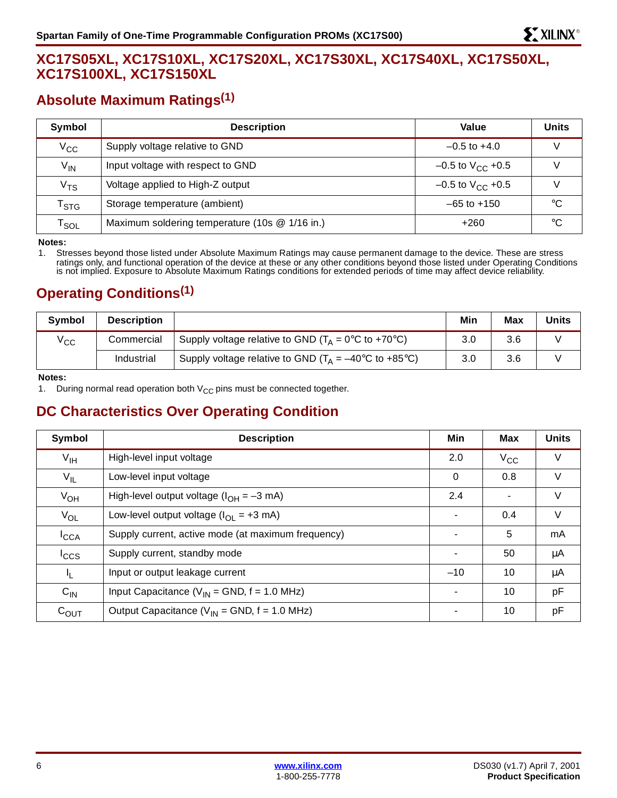### **XC17S05XL, XC17S10XL, XC17S20XL, XC17S30XL, XC17S40XL, XC17S50XL, XC17S100XL, XC17S150XL**

## **Absolute Maximum Ratings(1)**

| Symbol                      | <b>Description</b>                             | Value                          | <b>Units</b> |
|-----------------------------|------------------------------------------------|--------------------------------|--------------|
| $\rm V_{CC}$                | Supply voltage relative to GND                 | $-0.5$ to $+4.0$               |              |
| $V_{IN}$                    | Input voltage with respect to GND              | $-0.5$ to $V_{\text{CC}}$ +0.5 |              |
| $\rm v_{TS}$                | Voltage applied to High-Z output               | $-0.5$ to V <sub>CC</sub> +0.5 |              |
| $\mathsf{T}_{\textsf{STG}}$ | Storage temperature (ambient)                  | $-65$ to $+150$                | °C           |
| $\mathsf{r}_{\mathsf{SOL}}$ | Maximum soldering temperature (10s @ 1/16 in.) | +260                           | $^{\circ}$ C |

**Notes:** 

1. Stresses beyond those listed under Absolute Maximum Ratings may cause permanent damage to the device. These are stress ratings only, and functional operation of the device at these or any other conditions beyond those listed under Operating Conditions is not implied. Exposure to Absolute Maximum Ratings conditions for extended periods of time may affect device reliability.

## **Operating Conditions(1)**

| <b>Symbol</b> | <b>Description</b> |                                                                                      | Min | <b>Max</b> | <b>Units</b> |
|---------------|--------------------|--------------------------------------------------------------------------------------|-----|------------|--------------|
| $V_{\rm CC}$  | Commercial         | Supply voltage relative to GND ( $T_A = 0^\circ \text{C}$ to +70 $^\circ \text{C}$ ) | 3.0 | 3.6        |              |
|               | Industrial         | Supply voltage relative to GND ( $T_A = -40^{\circ}$ C to +85 $^{\circ}$ C)          | 3.0 | 3.6        |              |

**Notes:** 

1. During normal read operation both  $V_{CC}$  pins must be connected together.

## **DC Characteristics Over Operating Condition**

| Symbol           | <b>Description</b>                                 | Min            | Max          | <b>Units</b> |
|------------------|----------------------------------------------------|----------------|--------------|--------------|
| $V_{\text{IH}}$  | High-level input voltage                           | 2.0            | $V_{\rm CC}$ | V            |
| $V_{IL}$         | Low-level input voltage                            | $\Omega$       | 0.8          | V            |
| $V_{OH}$         | High-level output voltage $(l_{OH} = -3$ mA)       | 2.4            |              | V            |
| $V_{OL}$         | Low-level output voltage $(IO1 = +3 mA)$           | $\blacksquare$ | 0.4          | V            |
| $I_{\text{CCA}}$ | Supply current, active mode (at maximum frequency) |                | 5            | mA           |
| $I_{\text{CCS}}$ | Supply current, standby mode                       |                | 50           | μA           |
| IL.              | Input or output leakage current                    | $-10$          | 10           | μA           |
| $C_{IN}$         | Input Capacitance ( $V_{IN}$ = GND, $f = 1.0$ MHz) | $\blacksquare$ | 10           | pF           |
| $C_{\text{OUT}}$ | Output Capacitance ( $V_{IN}$ = GND, f = 1.0 MHz)  |                | 10           | pF           |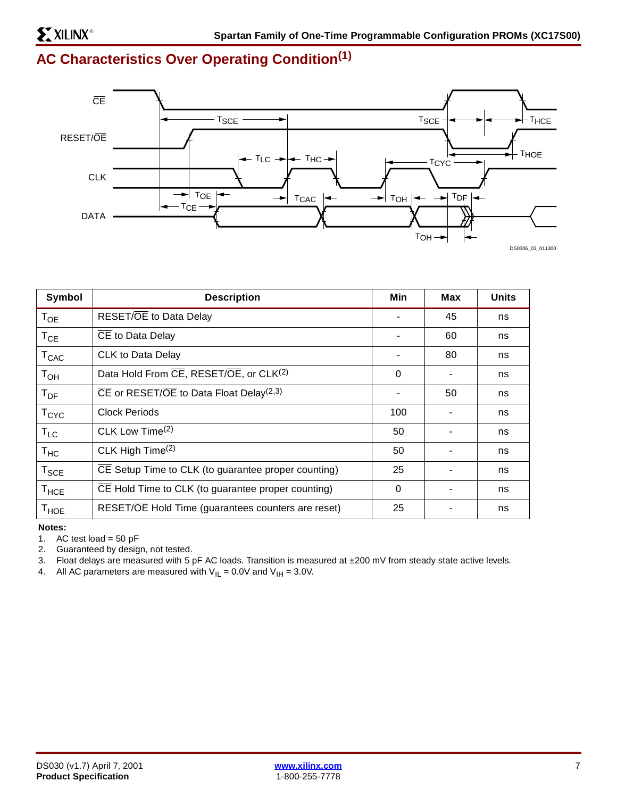# **AC Characteristics Over Operating Condition(1)**



| Symbol           | <b>Description</b>                                               | Min      | Max | <b>Units</b> |
|------------------|------------------------------------------------------------------|----------|-----|--------------|
| $T_{OE}$         | RESET/OE to Data Delay                                           |          | 45  | ns           |
| $T_{CE}$         | CE to Data Delay                                                 |          | 60  | ns           |
| $T_{CAC}$        | CLK to Data Delay                                                |          | 80  | ns           |
| $T_{OH}$         | Data Hold From CE, RESET/OE, or CLK <sup>(2)</sup>               | 0        |     | ns           |
| $T_{DF}$         | $\overline{CE}$ or RESET/OE to Data Float Delay <sup>(2,3)</sup> |          | 50  | ns           |
| $T_{\rm CYC}$    | <b>Clock Periods</b>                                             | 100      |     | ns           |
| $T_{LC}$         | CLK Low Time <sup>(2)</sup>                                      |          |     | ns           |
| $T_{HC}$         | CLK High Time <sup>(2)</sup>                                     | 50       |     | ns           |
| $T_{\text{SCE}}$ | CE Setup Time to CLK (to guarantee proper counting)              | 25       |     | ns           |
| $T_{\sf HCE}$    | CE Hold Time to CLK (to guarantee proper counting)               | $\Omega$ | ۰   | ns           |
| $T_{\sf HOE}$    | RESET/OE Hold Time (guarantees counters are reset)               | 25       |     | ns           |

#### **Notes:**

1. AC test load =  $50$  pF

2. Guaranteed by design, not tested.

3. Float delays are measured with 5 pF AC loads. Transition is measured at ±200 mV from steady state active levels.

4. All AC parameters are measured with  $V_{IL} = 0.0V$  and  $V_{IH} = 3.0V$ .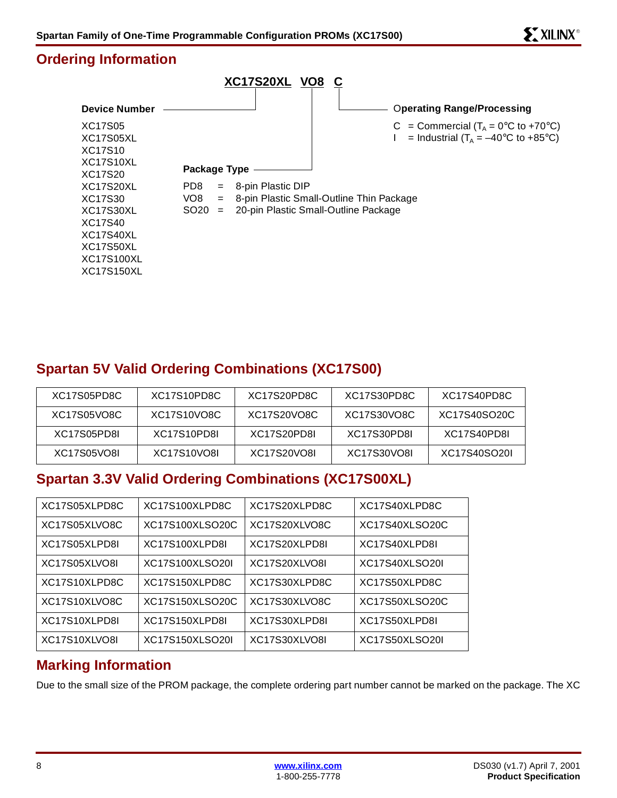#### **Ordering Information**



## **Spartan 5V Valid Ordering Combinations (XC17S00)**

| XC17S05PD8C | XC17S10PD8C | XC17S20PD8C | XC17S30PD8C | XC17S40PD8C  |
|-------------|-------------|-------------|-------------|--------------|
| XC17S05VO8C | XC17S10VO8C | XC17S20VO8C | XC17S30VO8C | XC17S40SO20C |
| XC17S05PD8L | XC17S10PD8L | XC17S20PD8L | XC17S30PD8L | XC17S40PD8L  |
| XC17S05VO8L | XC17S10VO8L | XC17S20VO8L | XC17S30VO8L | XC17S40SO20L |

## **Spartan 3.3V Valid Ordering Combinations (XC17S00XL)**

| XC17S05XLPD8C | XC17S100XLPD8C  | XC17S20XLPD8C | XC17S40XLPD8C  |
|---------------|-----------------|---------------|----------------|
| XC17S05XLVO8C | XC17S100XLSO20C | XC17S20XLVO8C | XC17S40XLSO20C |
| XC17S05XLPD8I | XC17S100XLPD8I  | XC17S20XLPD8I | XC17S40XLPD8I  |
| XC17S05XLVO8I | XC17S100XLSO20I | XC17S20XLVO8I | XC17S40XLSO20I |
| XC17S10XLPD8C | XC17S150XLPD8C  | XC17S30XLPD8C | XC17S50XLPD8C  |
| XC17S10XLVO8C | XC17S150XLSO20C | XC17S30XLVO8C | XC17S50XLSO20C |
| XC17S10XLPD8I | XC17S150XLPD8I  | XC17S30XLPD8I | XC17S50XLPD8I  |
| XC17S10XLVO8I | XC17S150XLSO20I | XC17S30XLVO8I | XC17S50XLSO20I |

#### **Marking Information**

Due to the small size of the PROM package, the complete ordering part number cannot be marked on the package. The XC